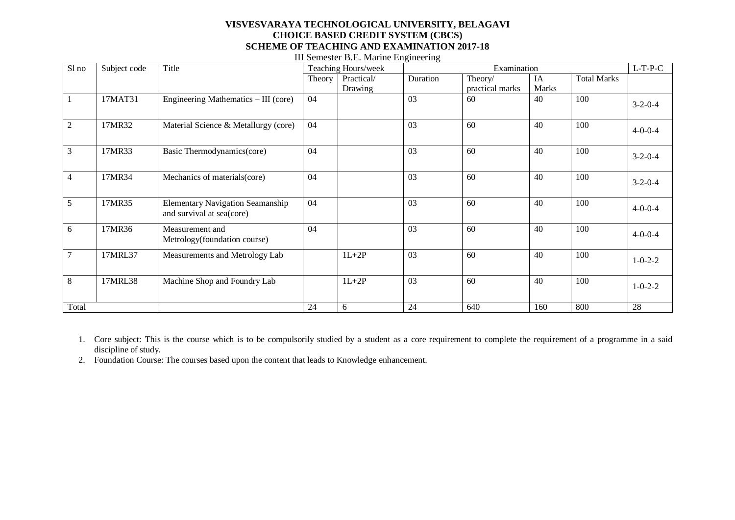| Sl no          | Subject code | Title                                                                | Teaching Hours/week |            | Examination |                 |       |                    | $L-T-P-C$       |
|----------------|--------------|----------------------------------------------------------------------|---------------------|------------|-------------|-----------------|-------|--------------------|-----------------|
|                |              |                                                                      | Theory              | Practical/ | Duration    | Theory/         | IA    | <b>Total Marks</b> |                 |
|                |              |                                                                      |                     | Drawing    |             | practical marks | Marks |                    |                 |
|                | 17MAT31      | Engineering Mathematics - III (core)                                 | 04                  |            | 03          | 60              | 40    | 100                | $3 - 2 - 0 - 4$ |
| $\overline{2}$ | 17MR32       | Material Science & Metallurgy (core)                                 | 04                  |            | 03          | 60              | 40    | 100                | $4 - 0 - 0 - 4$ |
| 3              | 17MR33       | Basic Thermodynamics(core)                                           | 04                  |            | 03          | 60              | 40    | 100                | $3 - 2 - 0 - 4$ |
| 4              | 17MR34       | Mechanics of materials(core)                                         | 04                  |            | 03          | 60              | 40    | 100                | $3 - 2 - 0 - 4$ |
| 5              | 17MR35       | <b>Elementary Navigation Seamanship</b><br>and survival at sea(core) | 04                  |            | 03          | 60              | 40    | 100                | $4 - 0 - 0 - 4$ |
| 6              | 17MR36       | Measurement and<br>Metrology(foundation course)                      | 04                  |            | 03          | 60              | 40    | 100                | $4 - 0 - 0 - 4$ |
| $\overline{7}$ | 17MRL37      | Measurements and Metrology Lab                                       |                     | $1L+2P$    | 03          | 60              | 40    | 100                | $1 - 0 - 2 - 2$ |
| 8              | 17MRL38      | Machine Shop and Foundry Lab                                         |                     | $1L+2P$    | 03          | 60              | 40    | 100                | $1 - 0 - 2 - 2$ |
| Total          |              |                                                                      | 24                  | 6          | 24          | 640             | 160   | 800                | 28              |

III Semester B.E. Marine Engineering

- 1. Core subject: This is the course which is to be compulsorily studied by a student as a core requirement to complete the requirement of a programme in a said discipline of study.
- 2. Foundation Course: The courses based upon the content that leads to Knowledge enhancement.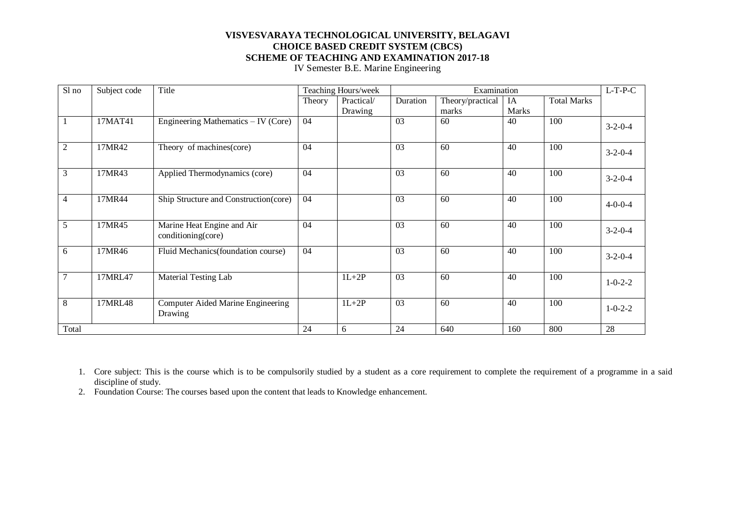IV Semester B.E. Marine Engineering

| Sl no          | Subject code | Title                                            |        | Teaching Hours/week |          | Examination      |              |                    | $L$ -T-P-C      |
|----------------|--------------|--------------------------------------------------|--------|---------------------|----------|------------------|--------------|--------------------|-----------------|
|                |              |                                                  | Theory | Practical/          | Duration | Theory/practical | IA           | <b>Total Marks</b> |                 |
|                |              |                                                  |        | Drawing             |          | marks            | <b>Marks</b> |                    |                 |
|                | 17MAT41      | Engineering Mathematics $-$ IV (Core)            | 04     |                     | 03       | 60               | 40           | 100                | $3-2-0-4$       |
| $\overline{2}$ | 17MR42       | Theory of machines(core)                         | 04     |                     | 03       | 60               | 40           | 100                | $3-2-0-4$       |
| 3              | 17MR43       | Applied Thermodynamics (core)                    | 04     |                     | 03       | 60               | 40           | 100                | $3-2-0-4$       |
| 4              | 17MR44       | Ship Structure and Construction(core)            | 04     |                     | 03       | 60               | 40           | 100                | $4 - 0 - 0 - 4$ |
| 5              | 17MR45       | Marine Heat Engine and Air<br>conditioning(core) | 04     |                     | 03       | 60               | 40           | 100                | $3 - 2 - 0 - 4$ |
| 6              | 17MR46       | Fluid Mechanics (foundation course)              | 04     |                     | 03       | 60               | 40           | 100                | $3-2-0-4$       |
| 7              | 17MRL47      | <b>Material Testing Lab</b>                      |        | $1L+2P$             | 03       | 60               | 40           | 100                | $1 - 0 - 2 - 2$ |
| 8              | 17MRL48      | Computer Aided Marine Engineering<br>Drawing     |        | $1L+2P$             | 03       | 60               | 40           | 100                | $1 - 0 - 2 - 2$ |
| Total          |              |                                                  | 24     | 6                   | 24       | 640              | 160          | 800                | 28              |

1. Core subject: This is the course which is to be compulsorily studied by a student as a core requirement to complete the requirement of a programme in a said discipline of study.

2. Foundation Course: The courses based upon the content that leads to Knowledge enhancement.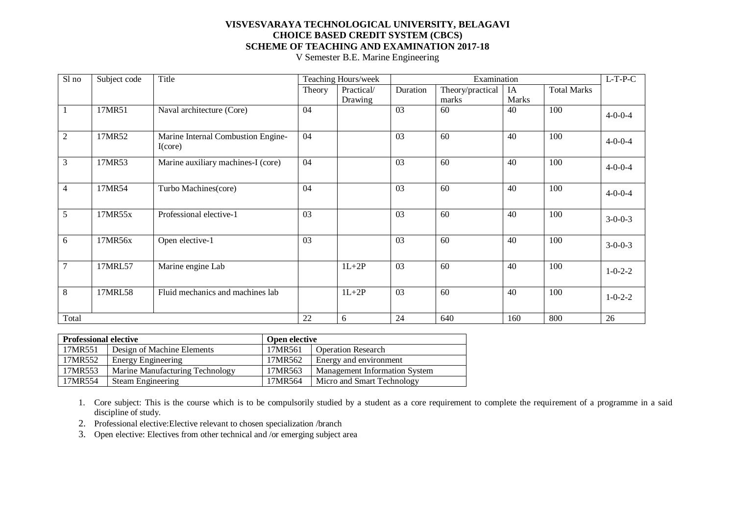V Semester B.E. Marine Engineering

| Sl no          | Subject code | Title                                         |        | Teaching Hours/week |          | Examination      |              |                    | $L-T-P-C$       |
|----------------|--------------|-----------------------------------------------|--------|---------------------|----------|------------------|--------------|--------------------|-----------------|
|                |              |                                               | Theory | Practical/          | Duration | Theory/practical | IA           | <b>Total Marks</b> |                 |
|                |              |                                               |        | Drawing             |          | marks            | <b>Marks</b> |                    |                 |
|                | 17MR51       | Naval architecture (Core)                     | 04     |                     | 03       | 60               | 40           | 100                | $4 - 0 - 0 - 4$ |
| $\overline{2}$ | 17MR52       | Marine Internal Combustion Engine-<br>I(core) | 04     |                     | 03       | 60               | 40           | 100                | $4 - 0 - 0 - 4$ |
| 3              | 17MR53       | Marine auxiliary machines-I (core)            | 04     |                     | 03       | 60               | 40           | 100                | $4 - 0 - 0 - 4$ |
| 4              | 17MR54       | Turbo Machines(core)                          | 04     |                     | 03       | 60               | 40           | 100                | $4 - 0 - 0 - 4$ |
| 5              | 17MR55x      | Professional elective-1                       | 03     |                     | 03       | 60               | 40           | 100                | $3-0-0-3$       |
| 6              | 17MR56x      | Open elective-1                               | 03     |                     | 03       | 60               | 40           | 100                | $3-0-0-3$       |
| $\overline{7}$ | 17MRL57      | Marine engine Lab                             |        | $1L+2P$             | 03       | 60               | 40           | 100                | $1 - 0 - 2 - 2$ |
| 8              | 17MRL58      | Fluid mechanics and machines lab              |        | $1L+2P$             | 03       | 60               | 40           | 100                | $1 - 0 - 2 - 2$ |
| Total          |              |                                               | 22     | 6                   | 24       | 640              | 160          | 800                | 26              |

| <b>Professional elective</b> |                                 | Open elective |                               |
|------------------------------|---------------------------------|---------------|-------------------------------|
| 17MR551                      | Design of Machine Elements      | 17MR561       | <b>Operation Research</b>     |
| 17MR552                      | <b>Energy Engineering</b>       | 17MR562       | Energy and environment        |
| 17MR553                      | Marine Manufacturing Technology | 17MR563       | Management Information System |
| 17MR554                      | Steam Engineering               | 17MR564       | Micro and Smart Technology    |

1. Core subject: This is the course which is to be compulsorily studied by a student as a core requirement to complete the requirement of a programme in a said discipline of study.

2. Professional elective:Elective relevant to chosen specialization /branch

3. Open elective: Electives from other technical and /or emerging subject area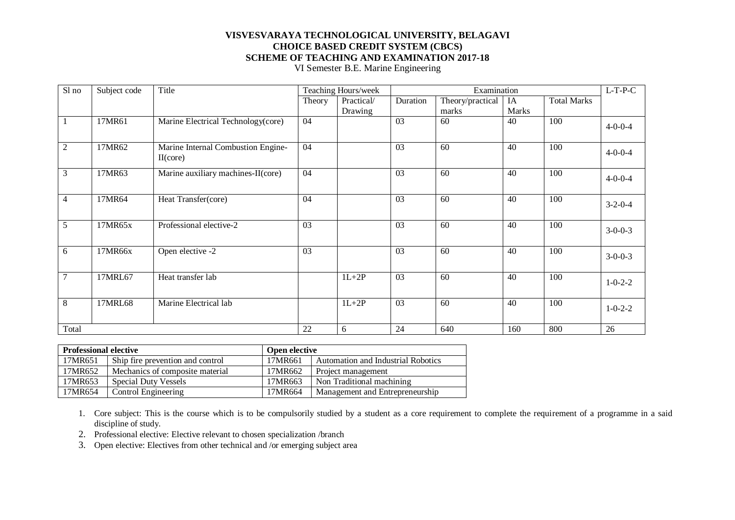VI Semester B.E. Marine Engineering

| Sl no          | Subject code | Title                                          |        | Teaching Hours/week |          | Examination      |              |                    | $L-T-P-C$       |
|----------------|--------------|------------------------------------------------|--------|---------------------|----------|------------------|--------------|--------------------|-----------------|
|                |              |                                                | Theory | Practical/          | Duration | Theory/practical | IA           | <b>Total Marks</b> |                 |
|                |              |                                                |        | Drawing             |          | marks            | <b>Marks</b> |                    |                 |
|                | 17MR61       | Marine Electrical Technology(core)             | 04     |                     | 03       | 60               | 40           | 100                | $4 - 0 - 0 - 4$ |
| $\overline{2}$ | 17MR62       | Marine Internal Combustion Engine-<br>II(core) | 04     |                     | 03       | 60               | 40           | 100                | $4 - 0 - 0 - 4$ |
| $\mathfrak{Z}$ | 17MR63       | Marine auxiliary machines-II(core)             | 04     |                     | 03       | 60               | 40           | 100                | $4 - 0 - 0 - 4$ |
| $\overline{4}$ | 17MR64       | Heat Transfer(core)                            | 04     |                     | 03       | 60               | 40           | 100                | $3-2-0-4$       |
| 5              | 17MR65x      | Professional elective-2                        | 03     |                     | 03       | 60               | 40           | 100                | $3 - 0 - 0 - 3$ |
| 6              | 17MR66x      | Open elective -2                               | 03     |                     | 03       | 60               | 40           | 100                | $3 - 0 - 0 - 3$ |
| $\overline{7}$ | 17MRL67      | Heat transfer lab                              |        | $1L+2P$             | 03       | 60               | 40           | 100                | $1 - 0 - 2 - 2$ |
| 8              | 17MRL68      | Marine Electrical lab                          |        | $1L+2P$             | 03       | 60               | 40           | 100                | $1 - 0 - 2 - 2$ |
| Total          |              |                                                | 22     | 6                   | 24       | 640              | 160          | 800                | 26              |

| <b>Professional elective</b> |                                  | Open elective |                                    |  |  |
|------------------------------|----------------------------------|---------------|------------------------------------|--|--|
| 17MR651                      | Ship fire prevention and control | 17MR661       | Automation and Industrial Robotics |  |  |
| 17MR652                      | Mechanics of composite material  | 17MR662       | Project management                 |  |  |
| 17MR653                      | Special Duty Vessels             | 17MR663       | Non Traditional machining          |  |  |
| 17MR654                      | Control Engineering              | 17MR664       | Management and Entrepreneurship    |  |  |

1. Core subject: This is the course which is to be compulsorily studied by a student as a core requirement to complete the requirement of a programme in a said discipline of study.

2. Professional elective: Elective relevant to chosen specialization /branch

3. Open elective: Electives from other technical and /or emerging subject area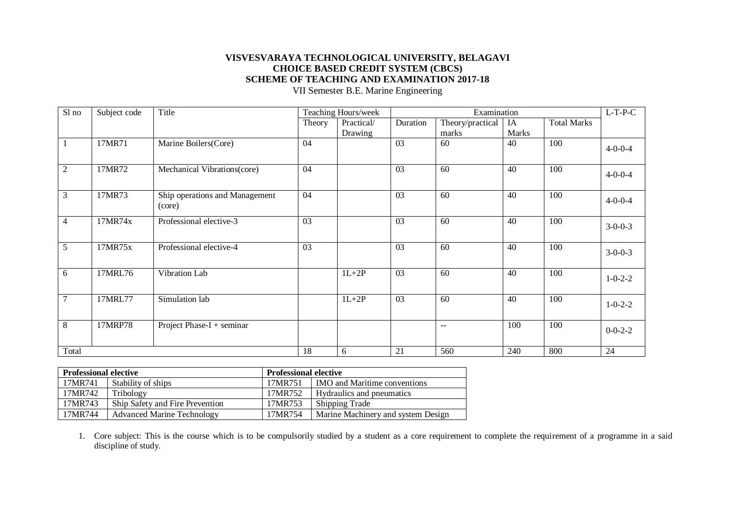VII Semester B.E. Marine Engineering

| Sl no          | Subject code | Title                                    |        | Teaching Hours/week |          | Examination      |              |                    | $L-T-P-C$       |
|----------------|--------------|------------------------------------------|--------|---------------------|----------|------------------|--------------|--------------------|-----------------|
|                |              |                                          | Theory | Practical/          | Duration | Theory/practical | IA           | <b>Total Marks</b> |                 |
|                |              |                                          |        | Drawing             |          | marks            | <b>Marks</b> |                    |                 |
|                | 17MR71       | Marine Boilers(Core)                     | 04     |                     | 03       | 60               | 40           | 100                | $4 - 0 - 0 - 4$ |
| $\overline{2}$ | 17MR72       | Mechanical Vibrations(core)              | 04     |                     | 03       | 60               | 40           | 100                | $4 - 0 - 0 - 4$ |
| $\mathfrak{Z}$ | 17MR73       | Ship operations and Management<br>(core) | 04     |                     | 03       | 60               | 40           | 100                | $4 - 0 - 0 - 4$ |
| $\overline{4}$ | 17MR74x      | Professional elective-3                  | 03     |                     | 03       | 60               | 40           | 100                | $3-0-0-3$       |
| 5              | 17MR75x      | Professional elective-4                  | 03     |                     | 03       | 60               | 40           | 100                | $3-0-0-3$       |
| 6              | 17MRL76      | Vibration Lab                            |        | $1L+2P$             | 03       | 60               | 40           | 100                | $1 - 0 - 2 - 2$ |
| $\overline{7}$ | 17MRL77      | Simulation lab                           |        | $1L+2P$             | 03       | 60               | 40           | 100                | $1 - 0 - 2 - 2$ |
| 8              | 17MRP78      | Project Phase- $I +$ seminar             |        |                     |          | $\overline{a}$   | 100          | 100                | $0 - 0 - 2 - 2$ |
| Total          |              |                                          | 18     | 6                   | 21       | 560              | 240          | 800                | 24              |

| <b>Professional elective</b> |                                   | <b>Professional elective</b> |                                           |
|------------------------------|-----------------------------------|------------------------------|-------------------------------------------|
| 17MR741                      | Stability of ships                | 17MR751                      | <b>IMO</b> and Maritime conventions       |
| 17MR742                      | Tribology                         | 17MR752                      | <b>Hydraulics</b> and pneumatics          |
| 17MR743                      | Ship Safety and Fire Prevention   | 17MR753                      | Shipping Trade                            |
| 17MR744                      | <b>Advanced Marine Technology</b> | 17MR754                      | <b>Marine Machinery and system Design</b> |

1. Core subject: This is the course which is to be compulsorily studied by a student as a core requirement to complete the requirement of a programme in a said discipline of study.